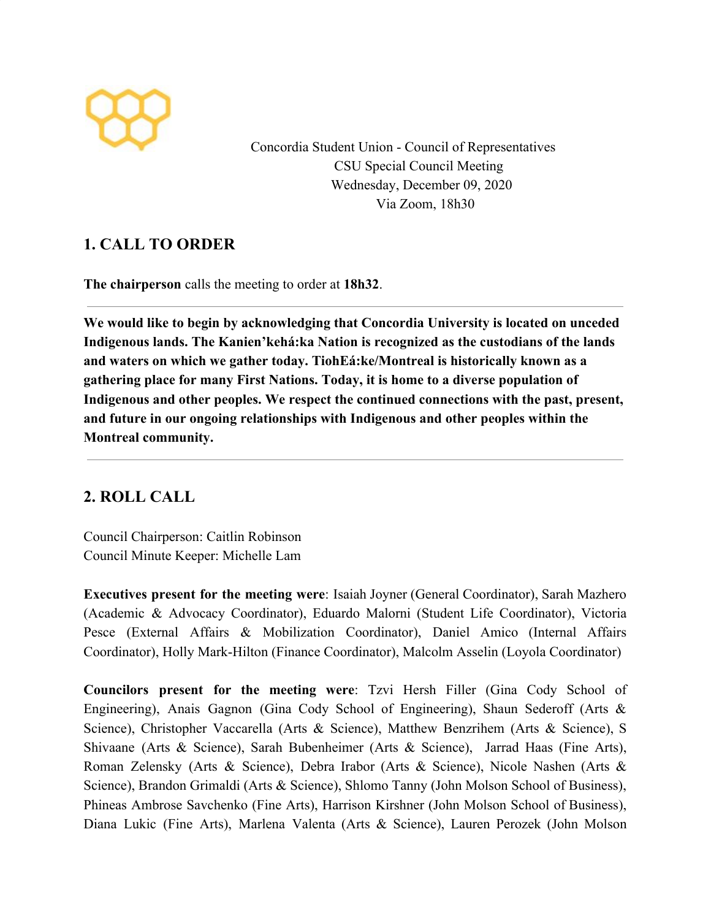

Concordia Student Union - Council of Representatives CSU Special Council Meeting Wednesday, December 09, 2020 Via Zoom, 18h30

# **1. CALL TO ORDER**

**The chairperson** calls the meeting to order at **18h32**.

**We would like to begin by acknowledging that Concordia University is located on unceded Indigenous lands. The Kanien'kehá:ka Nation is recognized as the custodians of the lands and waters on which we gather today. TiohEá:ke/Montreal is historically known as a gathering place for many First Nations. Today, it is home to a diverse population of Indigenous and other peoples. We respect the continued connections with the past, present, and future in our ongoing relationships with Indigenous and other peoples within the Montreal community.**

# **2. ROLL CALL**

Council Chairperson: Caitlin Robinson Council Minute Keeper: Michelle Lam

**Executives present for the meeting were**: Isaiah Joyner (General Coordinator), Sarah Mazhero (Academic & Advocacy Coordinator), Eduardo Malorni (Student Life Coordinator), Victoria Pesce (External Affairs & Mobilization Coordinator), Daniel Amico (Internal Affairs Coordinator), Holly Mark-Hilton (Finance Coordinator), Malcolm Asselin (Loyola Coordinator)

**Councilors present for the meeting were**: Tzvi Hersh Filler (Gina Cody School of Engineering), Anais Gagnon (Gina Cody School of Engineering), Shaun Sederoff (Arts & Science), Christopher Vaccarella (Arts & Science), Matthew Benzrihem (Arts & Science), S Shivaane (Arts & Science), Sarah Bubenheimer (Arts & Science), Jarrad Haas (Fine Arts), Roman Zelensky (Arts & Science), Debra Irabor (Arts & Science), Nicole Nashen (Arts & Science), Brandon Grimaldi (Arts & Science), Shlomo Tanny (John Molson School of Business), Phineas Ambrose Savchenko (Fine Arts), Harrison Kirshner (John Molson School of Business), Diana Lukic (Fine Arts), Marlena Valenta (Arts & Science), Lauren Perozek (John Molson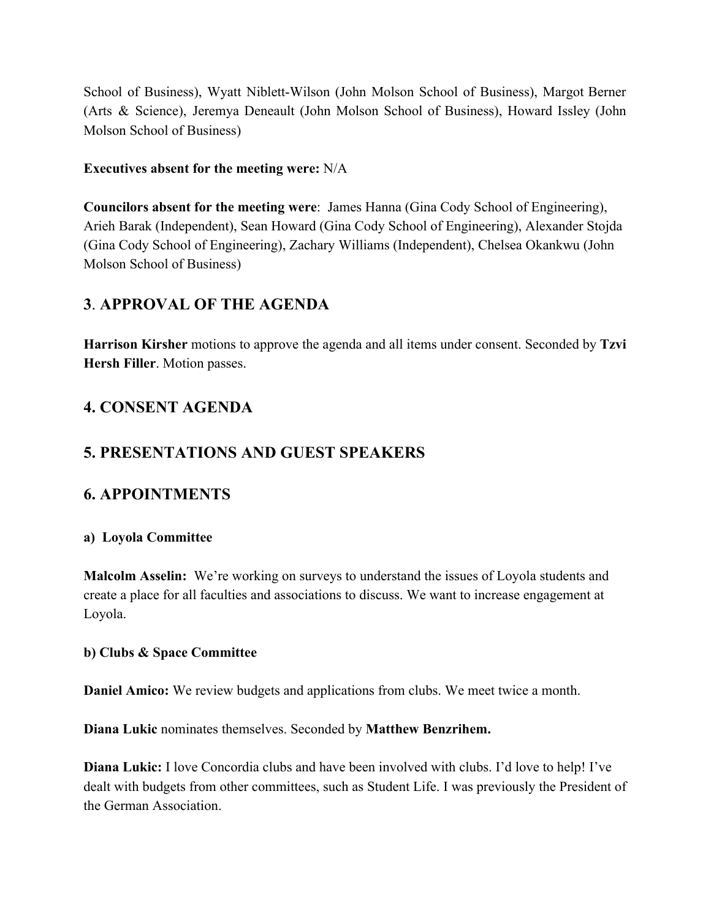School of Business), Wyatt Niblett-Wilson (John Molson School of Business), Margot Berner (Arts & Science), Jeremya Deneault (John Molson School of Business), Howard Issley (John Molson School of Business)

#### **Executives absent for the meeting were:** N/A

**Councilors absent for the meeting were**: James Hanna (Gina Cody School of Engineering), Arieh Barak (Independent), Sean Howard (Gina Cody School of Engineering), Alexander Stojda (Gina Cody School of Engineering), Zachary Williams (Independent), Chelsea Okankwu (John Molson School of Business)

### **3**. **APPROVAL OF THE AGENDA**

**Harrison Kirsher** motions to approve the agenda and all items under consent. Seconded by **Tzvi Hersh Filler**. Motion passes.

## **4. CONSENT AGENDA**

## **5. PRESENTATIONS AND GUEST SPEAKERS**

### **6. APPOINTMENTS**

#### **a) Loyola Committee**

**Malcolm Asselin:** We're working on surveys to understand the issues of Loyola students and create a place for all faculties and associations to discuss. We want to increase engagement at Loyola.

#### **b) Clubs & Space Committee**

**Daniel Amico:** We review budgets and applications from clubs. We meet twice a month.

**Diana Lukic** nominates themselves. Seconded by **Matthew Benzrihem.**

**Diana Lukic:** I love Concordia clubs and have been involved with clubs. I'd love to help! I've dealt with budgets from other committees, such as Student Life. I was previously the President of the German Association.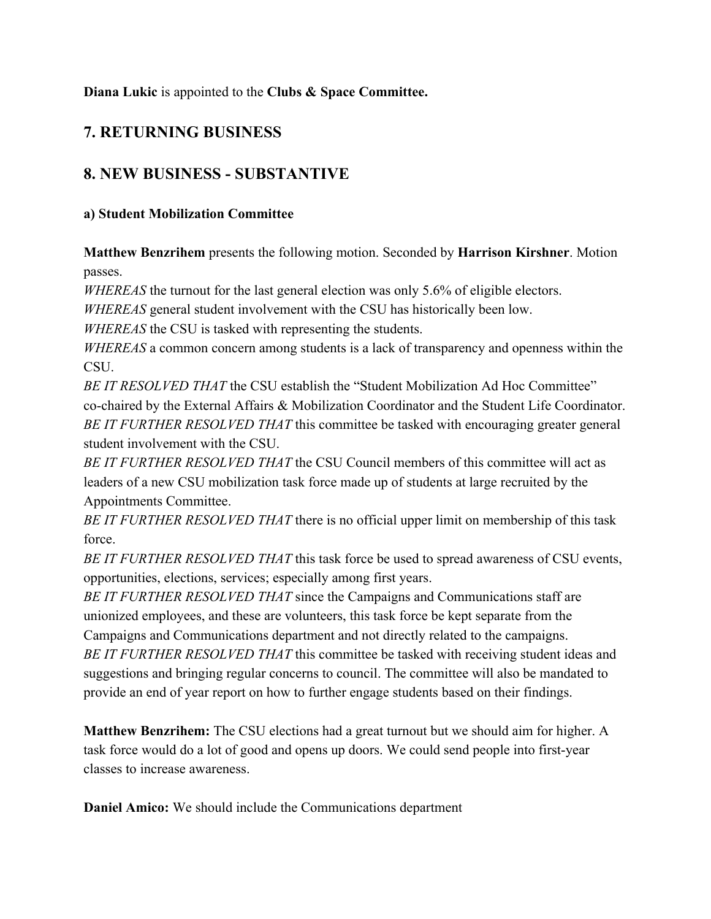**Diana Lukic** is appointed to the **Clubs & Space Committee.**

# **7. RETURNING BUSINESS**

# **8. NEW BUSINESS - SUBSTANTIVE**

### **a) Student Mobilization Committee**

**Matthew Benzrihem** presents the following motion. Seconded by **Harrison Kirshner**. Motion passes.

*WHEREAS* the turnout for the last general election was only 5.6% of eligible electors.

*WHEREAS* general student involvement with the CSU has historically been low.

*WHEREAS* the CSU is tasked with representing the students.

*WHEREAS* a common concern among students is a lack of transparency and openness within the **CSU** 

*BE IT RESOLVED THAT* the CSU establish the "Student Mobilization Ad Hoc Committee" co-chaired by the External Affairs & Mobilization Coordinator and the Student Life Coordinator. *BE IT FURTHER RESOLVED THAT* this committee be tasked with encouraging greater general student involvement with the CSU.

*BE IT FURTHER RESOLVED THAT* the CSU Council members of this committee will act as leaders of a new CSU mobilization task force made up of students at large recruited by the Appointments Committee.

*BE IT FURTHER RESOLVED THAT* there is no official upper limit on membership of this task force.

*BE IT FURTHER RESOLVED THAT* this task force be used to spread awareness of CSU events, opportunities, elections, services; especially among first years.

*BE IT FURTHER RESOLVED THAT* since the Campaigns and Communications staff are unionized employees, and these are volunteers, this task force be kept separate from the Campaigns and Communications department and not directly related to the campaigns. *BE IT FURTHER RESOLVED THAT* this committee be tasked with receiving student ideas and suggestions and bringing regular concerns to council. The committee will also be mandated to provide an end of year report on how to further engage students based on their findings.

**Matthew Benzrihem:** The CSU elections had a great turnout but we should aim for higher. A task force would do a lot of good and opens up doors. We could send people into first-year classes to increase awareness.

**Daniel Amico:** We should include the Communications department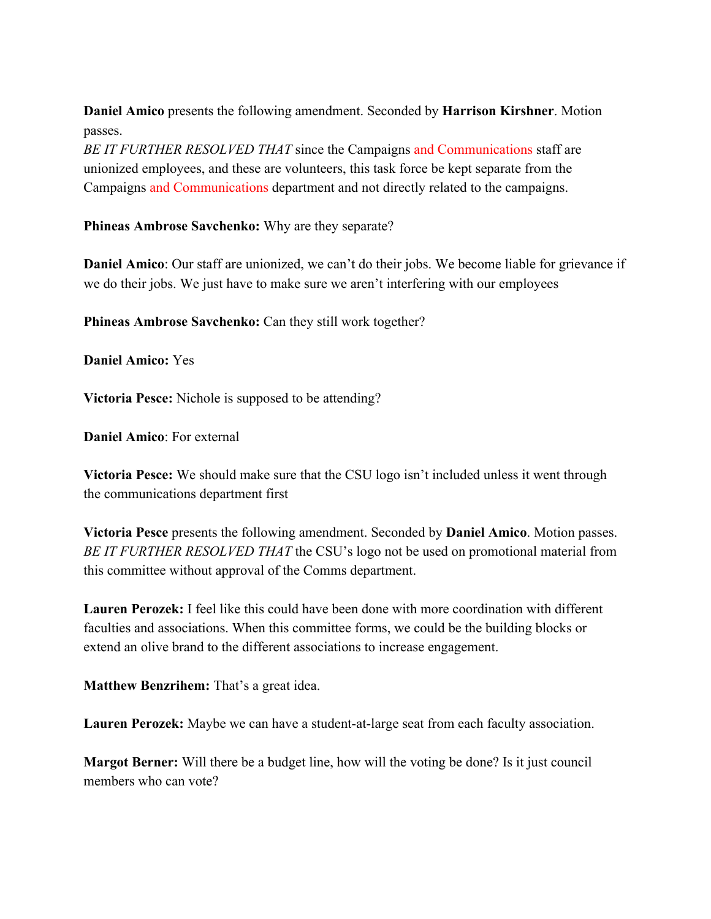**Daniel Amico** presents the following amendment. Seconded by **Harrison Kirshner**. Motion passes.

*BE IT FURTHER RESOLVED THAT* since the Campaigns and Communications staff are unionized employees, and these are volunteers, this task force be kept separate from the Campaigns and Communications department and not directly related to the campaigns.

**Phineas Ambrose Savchenko:** Why are they separate?

**Daniel Amico**: Our staff are unionized, we can't do their jobs. We become liable for grievance if we do their jobs. We just have to make sure we aren't interfering with our employees

**Phineas Ambrose Savchenko:** Can they still work together?

**Daniel Amico:** Yes

**Victoria Pesce:** Nichole is supposed to be attending?

**Daniel Amico**: For external

**Victoria Pesce:** We should make sure that the CSU logo isn't included unless it went through the communications department first

**Victoria Pesce** presents the following amendment. Seconded by **Daniel Amico**. Motion passes. *BE IT FURTHER RESOLVED THAT* the CSU's logo not be used on promotional material from this committee without approval of the Comms department.

**Lauren Perozek:** I feel like this could have been done with more coordination with different faculties and associations. When this committee forms, we could be the building blocks or extend an olive brand to the different associations to increase engagement.

**Matthew Benzrihem:** That's a great idea.

**Lauren Perozek:** Maybe we can have a student-at-large seat from each faculty association.

**Margot Berner:** Will there be a budget line, how will the voting be done? Is it just council members who can vote?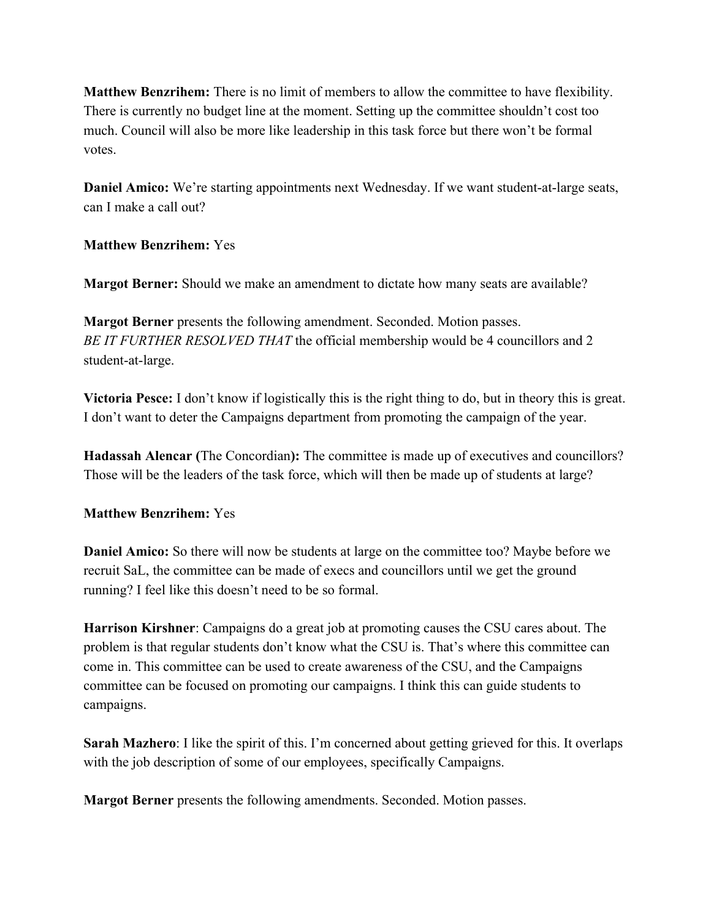**Matthew Benzrihem:** There is no limit of members to allow the committee to have flexibility. There is currently no budget line at the moment. Setting up the committee shouldn't cost too much. Council will also be more like leadership in this task force but there won't be formal votes.

**Daniel Amico:** We're starting appointments next Wednesday. If we want student-at-large seats, can I make a call out?

#### **Matthew Benzrihem:** Yes

**Margot Berner:** Should we make an amendment to dictate how many seats are available?

**Margot Berner** presents the following amendment. Seconded. Motion passes. *BE IT FURTHER RESOLVED THAT* the official membership would be 4 councillors and 2 student-at-large.

**Victoria Pesce:** I don't know if logistically this is the right thing to do, but in theory this is great. I don't want to deter the Campaigns department from promoting the campaign of the year.

**Hadassah Alencar (**The Concordian**):** The committee is made up of executives and councillors? Those will be the leaders of the task force, which will then be made up of students at large?

#### **Matthew Benzrihem:** Yes

**Daniel Amico:** So there will now be students at large on the committee too? Maybe before we recruit SaL, the committee can be made of execs and councillors until we get the ground running? I feel like this doesn't need to be so formal.

**Harrison Kirshner**: Campaigns do a great job at promoting causes the CSU cares about. The problem is that regular students don't know what the CSU is. That's where this committee can come in. This committee can be used to create awareness of the CSU, and the Campaigns committee can be focused on promoting our campaigns. I think this can guide students to campaigns.

**Sarah Mazhero**: I like the spirit of this. I'm concerned about getting grieved for this. It overlaps with the job description of some of our employees, specifically Campaigns.

**Margot Berner** presents the following amendments. Seconded. Motion passes.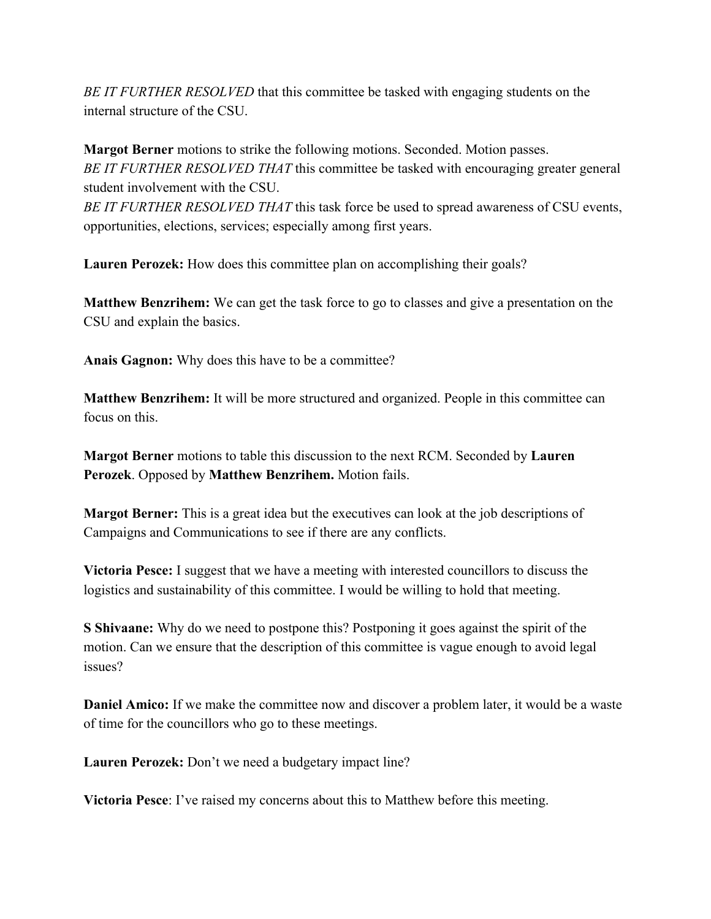*BE IT FURTHER RESOLVED* that this committee be tasked with engaging students on the internal structure of the CSU.

**Margot Berner** motions to strike the following motions. Seconded. Motion passes. *BE IT FURTHER RESOLVED THAT* this committee be tasked with encouraging greater general student involvement with the CSU.

*BE IT FURTHER RESOLVED THAT* this task force be used to spread awareness of CSU events, opportunities, elections, services; especially among first years.

**Lauren Perozek:** How does this committee plan on accomplishing their goals?

**Matthew Benzrihem:** We can get the task force to go to classes and give a presentation on the CSU and explain the basics.

**Anais Gagnon:** Why does this have to be a committee?

**Matthew Benzrihem:** It will be more structured and organized. People in this committee can focus on this.

**Margot Berner** motions to table this discussion to the next RCM. Seconded by **Lauren Perozek**. Opposed by **Matthew Benzrihem.** Motion fails.

**Margot Berner:** This is a great idea but the executives can look at the job descriptions of Campaigns and Communications to see if there are any conflicts.

**Victoria Pesce:** I suggest that we have a meeting with interested councillors to discuss the logistics and sustainability of this committee. I would be willing to hold that meeting.

**S Shivaane:** Why do we need to postpone this? Postponing it goes against the spirit of the motion. Can we ensure that the description of this committee is vague enough to avoid legal issues?

**Daniel Amico:** If we make the committee now and discover a problem later, it would be a waste of time for the councillors who go to these meetings.

**Lauren Perozek:** Don't we need a budgetary impact line?

**Victoria Pesce**: I've raised my concerns about this to Matthew before this meeting.